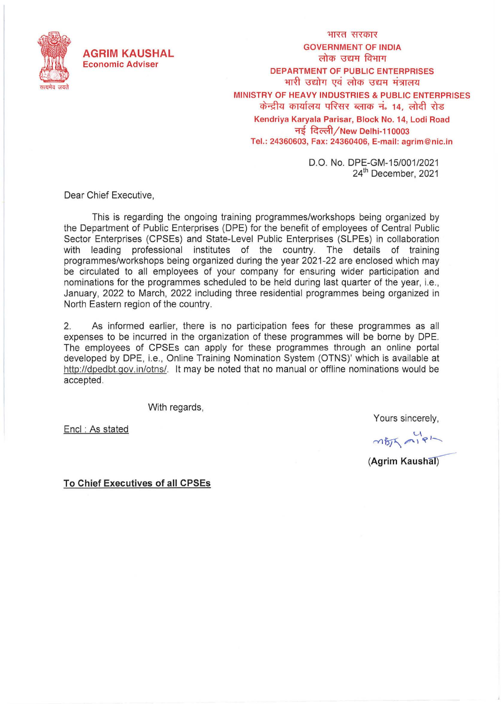

भारत सरकार **GOVERNMENT OF INDIA**  लोक उद्यम विभाग **DEPARTMENT OF PUBLIC ENTERPRISES**  भारी उद्योग एवं लोक उद्यम मंत्रालय MINISTRY OF HEAVY INDUSTRIES & PUBLIC ENTERPRISES केन्द्रीय कार्यालय परिसर ब्लाक नं. 14, लोदी रोड **Kendriya Karyala Parisar, Block No. 14, Lodi Road**  ~ **~ / New Delhi-110003 Tel.: 24360603, Fax: 24360406, E-mail: agrim@nic.in** 

> D.O. No. DPE-GM-15/001/2021 24<sup>th</sup> December, 2021

Dear Chief Executive,

This is regarding the ongoing training programmes/workshops being organized by the Department of Public Enterprises (OPE) for the benefit of employees of Central Public Sector Enterprises (CPSEs) and State-Level Public Enterprises (SLPEs) in collaboration with leading professional institutes of the country. The details of training programmes/workshops being organized during the year 2021-22 are enclosed which may be circulated to all employees of your company for ensuring wider participation and nominations for the programmes scheduled to be held during last quarter of the year, i.e. , January, 2022 to March, 2022 including three residential programmes being organized in North Eastern region of the country.

2. As informed earlier, there is no participation fees for these programmes as all expenses to be incurred in the organization of these programmes will be borne by OPE. The employees of CPSEs can apply for these programmes through an online portal developed by OPE, i.e., Online Training Nomination System (OTNS)' which is available at http://dpedbt.gov.in/otns/. It may be noted that no manual or offline nominations would be accepted.

With regards,

Encl : As stated

Yours sincerely,

mBJS mip1-

*(Agrim Kaushal)* 

**To Chief Executives of all CPSEs**